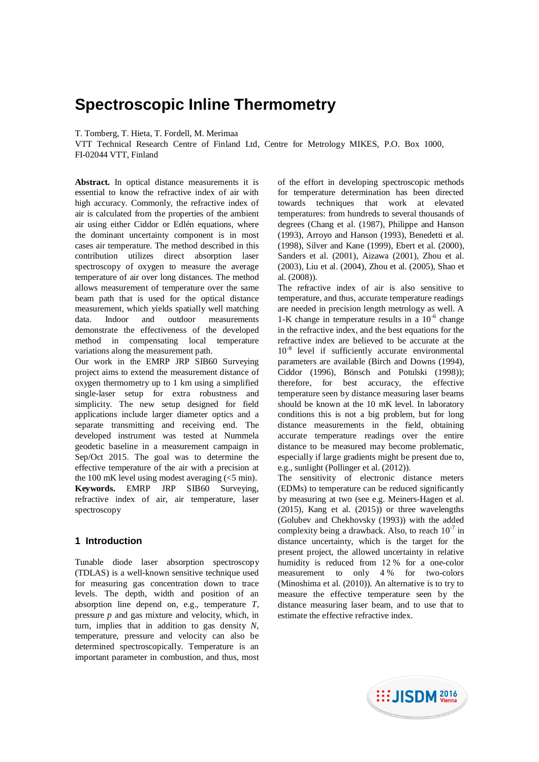# **Spectroscopic Inline Thermometry**

T. Tomberg, T. Hieta, T. Fordell, M. Merimaa

VTT Technical Research Centre of Finland Ltd, Centre for Metrology MIKES, P.O. Box 1000, FI-02044 VTT, Finland

**Abstract.** In optical distance measurements it is essential to know the refractive index of air with high accuracy. Commonly, the refractive index of air is calculated from the properties of the ambient air using either Ciddor or Edlén equations, where the dominant uncertainty component is in most cases air temperature. The method described in this contribution utilizes direct absorption laser spectroscopy of oxygen to measure the average temperature of air over long distances. The method allows measurement of temperature over the same beam path that is used for the optical distance measurement, which yields spatially well matching data. Indoor and outdoor measurements demonstrate the effectiveness of the developed method in compensating local temperature variations along the measurement path.

Our work in the EMRP JRP SIB60 Surveying project aims to extend the measurement distance of oxygen thermometry up to 1 km using a simplified single-laser setup for extra robustness and simplicity. The new setup designed for field applications include larger diameter optics and a separate transmitting and receiving end. The developed instrument was tested at Nummela geodetic baseline in a measurement campaign in Sep/Oct 2015. The goal was to determine the effective temperature of the air with a precision at the 100 mK level using modest averaging  $\left( \leq 5 \right)$  min). **Keywords.** EMRP JRP SIB60 Surveying, refractive index of air, air temperature, laser spectroscopy

## **1 Introduction**

Tunable diode laser absorption spectroscopy (TDLAS) is a well-known sensitive technique used for measuring gas concentration down to trace levels. The depth, width and position of an absorption line depend on, e.g., temperature *T*, pressure *p* and gas mixture and velocity, which, in turn, implies that in addition to gas density *N*, temperature, pressure and velocity can also be determined spectroscopically. Temperature is an important parameter in combustion, and thus, most of the effort in developing spectroscopic methods for temperature determination has been directed towards techniques that work at elevated temperatures: from hundreds to several thousands of degrees (Chang et al. (1987), Philippe and Hanson (1993), Arroyo and Hanson (1993), Benedetti et al. (1998), Silver and Kane (1999), Ebert et al. (2000), Sanders et al. (2001), Aizawa (2001), Zhou et al. (2003), Liu et al. (2004), Zhou et al. (2005), Shao et al. (2008)).

The refractive index of air is also sensitive to temperature, and thus, accurate temperature readings are needed in precision length metrology as well. A 1-K change in temperature results in a  $10^{-6}$  change in the refractive index, and the best equations for the refractive index are believed to be accurate at the 10<sup>-8</sup> level if sufficiently accurate environmental parameters are available (Birch and Downs (1994), Ciddor (1996), Bönsch and Potulski (1998)); therefore, for best accuracy, the effective temperature seen by distance measuring laser beams should be known at the 10 mK level. In laboratory conditions this is not a big problem, but for long distance measurements in the field, obtaining accurate temperature readings over the entire distance to be measured may become problematic, especially if large gradients might be present due to, e.g., sunlight (Pollinger et al. (2012)).

The sensitivity of electronic distance meters (EDMs) to temperature can be reduced significantly by measuring at two (see e.g. Meiners-Hagen et al.  $(2015)$ , Kang et al.  $(2015)$  or three wavelengths (Golubev and Chekhovsky (1993)) with the added complexity being a drawback. Also, to reach  $10^{-7}$  in distance uncertainty, which is the target for the present project, the allowed uncertainty in relative humidity is reduced from 12 % for a one-color measurement to only 4 % for two-colors (Minoshima et al. (2010)). An alternative is to try to measure the effective temperature seen by the distance measuring laser beam, and to use that to estimate the effective refractive index.

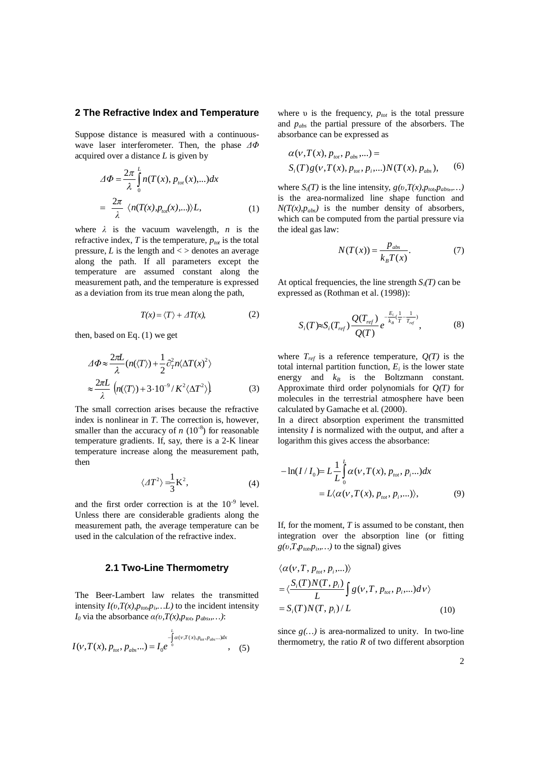#### **2 The Refractive Index and Temperature**

Suppose distance is measured with a continuouswave laser interferometer. Then, the phase  $\Delta\Phi$ acquired over a distance *L* is given by

$$
\Delta \Phi = \frac{2\pi}{\lambda} \int_{0}^{L} n(T(x), p_{tot}(x), \ldots) dx
$$

$$
= \frac{2\pi}{\lambda} \langle n(T(x), p_{tot}(x), \ldots) \rangle L,
$$
 (1)

where  $\lambda$  is the vacuum wavelength, *n* is the refractive index,  $T$  is the temperature,  $p_{\text{tot}}$  is the total pressure,  $L$  is the length and  $\lt$  > denotes an average along the path. If all parameters except the temperature are assumed constant along the measurement path, and the temperature is expressed as a deviation from its true mean along the path,

$$
T(x) = \langle T \rangle + \Delta T(x), \tag{2}
$$

then, based on Eq. (1) we get

$$
\Delta \Phi \approx \frac{2\pi L}{\lambda} (n(\langle T \rangle) + \frac{1}{2} \partial_T^2 n \langle \Delta T(x)^2 \rangle)
$$
  

$$
\approx \frac{2\pi L}{\lambda} (n(\langle T \rangle) + 3 \cdot 10^{-9} / K^2 \langle \Delta T^2 \rangle)
$$
 (3)

The small correction arises because the refractive index is nonlinear in *T*. The correction is, however, smaller than the accuracy of  $n (10^{-8})$  for reasonable temperature gradients. If, say, there is a 2-K linear temperature increase along the measurement path, then

$$
\langle \Delta T^2 \rangle = \frac{1}{3} \mathbf{K}^2,\tag{4}
$$

and the first order correction is at the  $10^{-9}$  level. Unless there are considerable gradients along the measurement path, the average temperature can be used in the calculation of the refractive index.

## **2.1 Two-Line Thermometry**

The Beer-Lambert law relates the transmitted intensity  $I(v, T(x), p_{\text{top}}p_{\text{in}}...L)$  to the incident intensity *I*<sup>0</sup> via the absorbance  $\alpha(v, T(x), p_{\text{top}} \, p_{\text{abs}}, \dots)$ :

$$
I(v,T(x),p_{\text{tot}},p_{\text{abs}}...)=I_0e^{-\int_{0}^{L} \alpha(v,T(x),p_{\text{tot}},p_{\text{abs}}...)dx}, \quad (5)
$$

where  $\nu$  is the frequency,  $p_{\text{tot}}$  is the total pressure and *pabs* the partial pressure of the absorbers. The absorbance can be expressed as

$$
\alpha(v, T(x), p_{\text{tot}}, p_{\text{abs}}, \ldots) =
$$
  
\n
$$
S_i(T) g(v, T(x), p_{\text{tot}}, p_i, \ldots) N(T(x), p_{\text{abs}}),
$$
 (6)

where  $S_i(T)$  is the line intensity,  $g(v, T(x), p_{\text{top}}p_{\text{abs}},...)$ is the area-normalized line shape function and  $N(T(x), p_{abs})$  is the number density of absorbers, which can be computed from the partial pressure via the ideal gas law:

$$
N(T(x)) = \frac{p_{\text{abs}}}{k_{\text{B}}T(x)}.\tag{7}
$$

At optical frequencies, the line strength  $S_i(T)$  can be expressed as (Rothman et al. (1998)):

$$
S_i(T) \approx S_i(T_{ref}) \frac{Q(T_{ref})}{Q(T)} e^{-\frac{E_i}{k_B}(\frac{1}{T} - \frac{1}{T_{ref}})},
$$
(8)

where  $T_{ref}$  is a reference temperature,  $Q(T)$  is the total internal partition function,  $E_i$  is the lower state energy and  $k_B$  is the Boltzmann constant. Approximate third order polynomials for *Q(T)* for molecules in the terrestrial atmosphere have been calculated by Gamache et al. (2000).

In a direct absorption experiment the transmitted intensity *I* is normalized with the output, and after a logarithm this gives access the absorbance:

$$
-\ln(I/I_0) = L\frac{1}{L}\int_0^L \alpha(v, T(x), p_{tot}, p_i...)dx
$$
  
=  $L(\alpha(v, T(x), p_{tot}, p_i,...)),$  (9)

If, for the moment, *T* is assumed to be constant, then integration over the absorption line (or fitting  $g(v,T,p_{\text{top}}p_i,\dots)$  to the signal) gives

$$
\langle \alpha(v, T, p_{tot}, p_i, \ldots) \rangle
$$
  
=\langle \frac{S\_i(T)N(T, p\_i)}{L} \int g(v, T, p\_{tot}, p\_i, \ldots) dv \rangle  
= S\_i(T)N(T, p\_i) / L (10)

since  $g(...)$  is area-normalized to unity. In two-line thermometry, the ratio  $R$  of two different absorption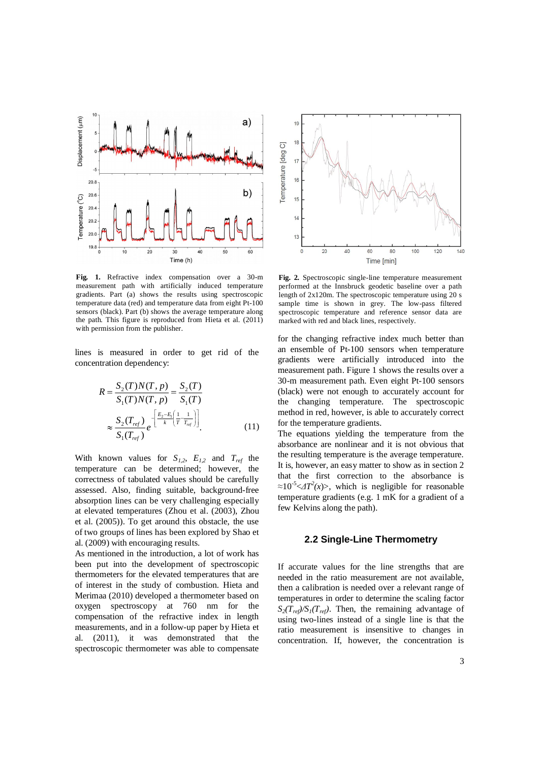

**Fig. 1.** Refractive index compensation over a 30-m measurement path with artificially induced temperature gradients. Part (a) shows the results using spectroscopic temperature data (red) and temperature data from eight Pt-100 sensors (black). Part (b) shows the average temperature along the path. This figure is reproduced from Hieta et al. (2011) with permission from the publisher.

lines is measured in order to get rid of the concentration dependency:

$$
R = \frac{S_2(T)N(T, p)}{S_1(T)N(T, p)} = \frac{S_2(T)}{S_1(T)}
$$
  

$$
\approx \frac{S_2(T_{ref})}{S_1(T_{ref})} e^{-\left[\frac{E_2 - E_1}{k} \left(\frac{1}{T} - \frac{1}{T_{ref}}\right)\right]}
$$
 (11)

With known values for  $S_{I,2}$ ,  $E_{I,2}$  and  $T_{ref}$  the temperature can be determined; however, the correctness of tabulated values should be carefully assessed. Also, finding suitable, background-free absorption lines can be very challenging especially at elevated temperatures (Zhou et al. (2003), Zhou et al. (2005)). To get around this obstacle, the use of two groups of lines has been explored by Shao et al. (2009) with encouraging results.

As mentioned in the introduction, a lot of work has been put into the development of spectroscopic thermometers for the elevated temperatures that are of interest in the study of combustion. Hieta and Merimaa (2010) developed a thermometer based on oxygen spectroscopy at 760 nm for the compensation of the refractive index in length measurements, and in a follow-up paper by Hieta et al. (2011), it was demonstrated that the spectroscopic thermometer was able to compensate



**Fig. 2.** Spectroscopic single-line temperature measurement performed at the Innsbruck geodetic baseline over a path length of 2x120m. The spectroscopic temperature using 20 s sample time is shown in grey. The low-pass filtered spectroscopic temperature and reference sensor data are marked with red and black lines, respectively.

for the changing refractive index much better than an ensemble of Pt-100 sensors when temperature gradients were artificially introduced into the measurement path. Figure 1 shows the results over a 30-m measurement path. Even eight Pt-100 sensors (black) were not enough to accurately account for the changing temperature. The spectroscopic method in red, however, is able to accurately correct for the temperature gradients.

The equations vielding the temperature from the absorbance are nonlinear and it is not obvious that the resulting temperature is the average temperature. It is, however, an easy matter to show as in section 2 that the first correction to the absorbance is  $\approx 10^{-5}$   $\leq$   $\Delta T^2(x)$ , which is negligible for reasonable temperature gradients (e.g. 1 mK for a gradient of a few Kelvins along the path).

# **2.2 Single-Line Thermometry**

If accurate values for the line strengths that are needed in the ratio measurement are not available, then a calibration is needed over a relevant range of temperatures in order to determine the scaling factor  $S_2(T_{ref})/S_1(T_{ref})$ . Then, the remaining advantage of using two-lines instead of a single line is that the ratio measurement is insensitive to changes in concentration. If, however, the concentration is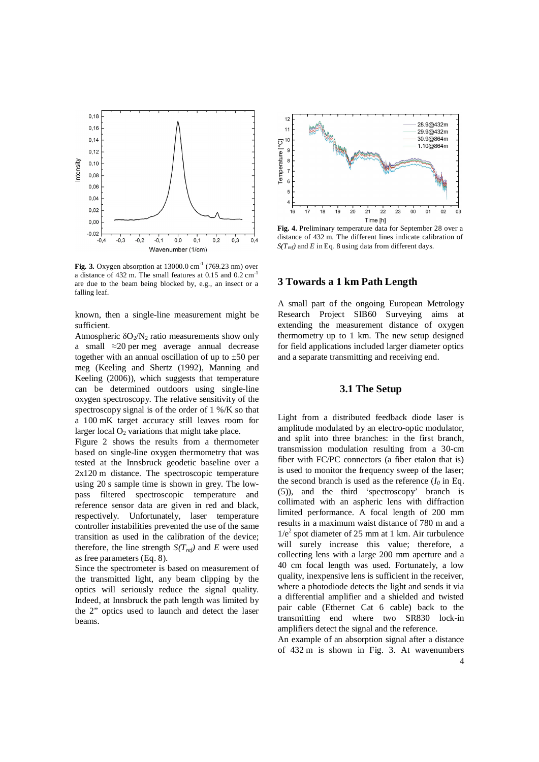

**Fig. 3.** Oxygen absorption at  $13000.0 \text{ cm}^{-1}$  (769.23 nm) over a distance of  $432$  m. The small features at  $0.15$  and  $0.2$  cm<sup>-1</sup> are due to the beam being blocked by, e.g., an insect or a falling leaf.

known, then a single-line measurement might be sufficient.

Atmospheric  $\delta O_2/N_2$  ratio measurements show only a small  $\approx$ 20 per meg average annual decrease together with an annual oscillation of up to  $\pm 50$  per meg (Keeling and Shertz (1992), Manning and Keeling (2006)), which suggests that temperature can be determined outdoors using single-line oxygen spectroscopy. The relative sensitivity of the spectroscopy signal is of the order of 1 %/K so that a 100 mK target accuracy still leaves room for larger local  $O<sub>2</sub>$  variations that might take place.

Figure 2 shows the results from a thermometer based on single-line oxygen thermometry that was tested at the Innsbruck geodetic baseline over a 2x120 m distance. The spectroscopic temperature using 20 s sample time is shown in grey. The lowpass filtered spectroscopic temperature and reference sensor data are given in red and black, respectively. Unfortunately, laser temperature controller instabilities prevented the use of the same transition as used in the calibration of the device; therefore, the line strength  $S(T_{ref})$  and *E* were used as free parameters (Eq. 8).

Since the spectrometer is based on measurement of the transmitted light, any beam clipping by the optics will seriously reduce the signal quality. Indeed, at Innsbruck the path length was limited by the 2" optics used to launch and detect the laser beams.



**Fig. 4.** Preliminary temperature data for September 28 over a distance of 432 m. The different lines indicate calibration of  $S(T_{ref})$  and *E* in Eq. 8 using data from different days.

### **3 Towards a 1 km Path Length**

A small part of the ongoing European Metrology Research Project SIB60 Surveying aims at extending the measurement distance of oxygen thermometry up to 1 km. The new setup designed for field applications included larger diameter optics and a separate transmitting and receiving end.

# **3.1 The Setup**

Light from a distributed feedback diode laser is amplitude modulated by an electro-optic modulator, and split into three branches: in the first branch, transmission modulation resulting from a 30-cm fiber with FC/PC connectors (a fiber etalon that is) is used to monitor the frequency sweep of the laser; the second branch is used as the reference  $(I_0 \text{ in Eq.})$ (5)), and the third 'spectroscopy' branch is collimated with an aspheric lens with diffraction limited performance. A focal length of 200 mm results in a maximum waist distance of 780 m and a 1/e<sup>2</sup> spot diameter of 25 mm at 1 km. Air turbulence will surely increase this value; therefore, a collecting lens with a large 200 mm aperture and a 40 cm focal length was used. Fortunately, a low quality, inexpensive lens is sufficient in the receiver, where a photodiode detects the light and sends it via a differential amplifier and a shielded and twisted pair cable (Ethernet Cat 6 cable) back to the transmitting end where two SR830 lock-in amplifiers detect the signal and the reference.

An example of an absorption signal after a distance of 432 m is shown in Fig. 3. At wavenumbers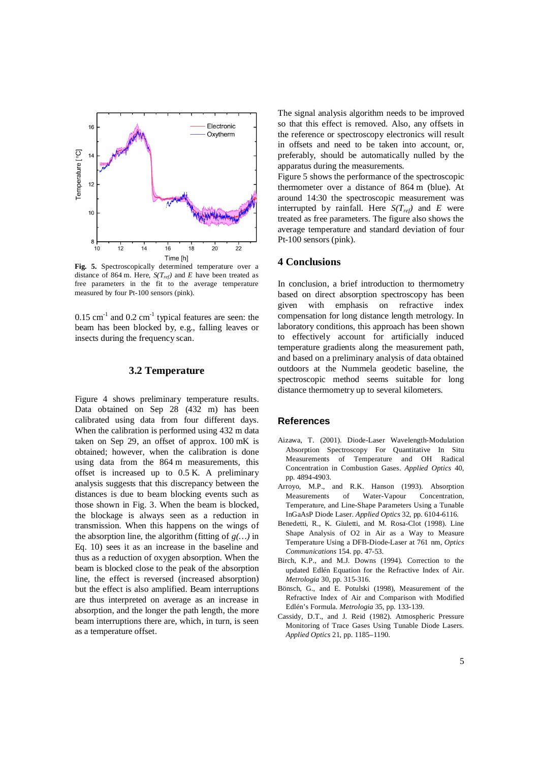

**Fig. 5.** Spectroscopically determined temperature over a distance of 864 m. Here,  $S(T_{ref})$  and *E* have been treated as free parameters in the fit to the average temperature measured by four Pt-100 sensors (pink).

 $0.15$  cm<sup>-1</sup> and  $0.2$  cm<sup>-1</sup> typical features are seen: the beam has been blocked by, e.g., falling leaves or insects during the frequency scan.

#### **3.2 Temperature**

Figure 4 shows preliminary temperature results. Data obtained on Sep 28 (432 m) has been calibrated using data from four different days. When the calibration is performed using 432 m data taken on Sep 29, an offset of approx. 100 mK is obtained; however, when the calibration is done using data from the 864 m measurements, this offset is increased up to 0.5 K. A preliminary analysis suggests that this discrepancy between the distances is due to beam blocking events such as those shown in Fig. 3. When the beam is blocked, the blockage is always seen as a reduction in transmission. When this happens on the wings of the absorption line, the algorithm (fitting of *g(…)* in Eq. 10) sees it as an increase in the baseline and thus as a reduction of oxygen absorption. When the beam is blocked close to the peak of the absorption line, the effect is reversed (increased absorption) but the effect is also amplified. Beam interruptions are thus interpreted on average as an increase in absorption, and the longer the path length, the more beam interruptions there are, which, in turn, is seen as a temperature offset.

The signal analysis algorithm needs to be improved so that this effect is removed. Also, any offsets in the reference or spectroscopy electronics will result in offsets and need to be taken into account, or, preferably, should be automatically nulled by the apparatus during the measurements.

Figure 5 shows the performance of the spectroscopic thermometer over a distance of 864 m (blue). At around 14:30 the spectroscopic measurement was interrupted by rainfall. Here  $S(T_{ref})$  and *E* were treated as free parameters. The figure also shows the average temperature and standard deviation of four Pt-100 sensors (pink).

## **4 Conclusions**

In conclusion, a brief introduction to thermometry based on direct absorption spectroscopy has been given with emphasis on refractive index compensation for long distance length metrology. In laboratory conditions, this approach has been shown to effectively account for artificially induced temperature gradients along the measurement path, and based on a preliminary analysis of data obtained outdoors at the Nummela geodetic baseline, the spectroscopic method seems suitable for long distance thermometry up to several kilometers.

#### **References**

- Aizawa, T. (2001). Diode-Laser Wavelength-Modulation Absorption Spectroscopy For Quantitative In Situ Measurements of Temperature and OH Radical Concentration in Combustion Gases. *Applied Optics* 40, pp. 4894-4903.
- Arroyo, M.P., and R.K. Hanson (1993). Absorption Measurements of Water-Vapour Concentration, Temperature, and Line-Shape Parameters Using a Tunable InGaAsP Diode Laser. *Applied Optics* 32, pp. 6104-6116.
- Benedetti, R., K. Giuletti, and M. Rosa-Clot (1998). Line Shape Analysis of O2 in Air as a Way to Measure Temperature Using a DFB-Diode-Laser at 761 nm, *Optics Communications* 154. pp. 47-53.
- Birch, K.P., and M.J. Downs (1994). Correction to the updated Edlén Equation for the Refractive Index of Air. *Metrologia* 30, pp. 315-316.
- Bönsch, G., and E. Potulski (1998), Measurement of the Refractive Index of Air and Comparison with Modified Edlén's Formula. *Metrologia* 35, pp. 133-139.
- Cassidy, D.T., and J. Reid (1982). Atmospheric Pressure Monitoring of Trace Gases Using Tunable Diode Lasers. *Applied Optics* 21, pp. 1185–1190.